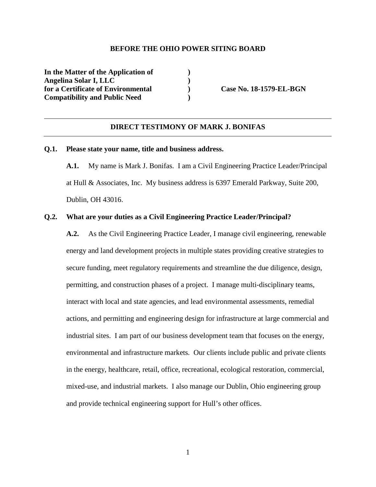#### **BEFORE THE OHIO POWER SITING BOARD**

**In the Matter of the Application of ) Angelina Solar I, LLC )**  for a Certificate of Environmental **Case No. 18-1579-EL-BGN Compatibility and Public Need )** 

### **DIRECT TESTIMONY OF MARK J. BONIFAS**

### **Q.1. Please state your name, title and business address.**

**A.1.** My name is Mark J. Bonifas. I am a Civil Engineering Practice Leader/Principal at Hull & Associates, Inc. My business address is 6397 Emerald Parkway, Suite 200, Dublin, OH 43016.

# **Q.2. What are your duties as a Civil Engineering Practice Leader/Principal?**

**A.2.** As the Civil Engineering Practice Leader, I manage civil engineering, renewable energy and land development projects in multiple states providing creative strategies to secure funding, meet regulatory requirements and streamline the due diligence, design, permitting, and construction phases of a project. I manage multi-disciplinary teams, interact with local and state agencies, and lead environmental assessments, remedial actions, and permitting and engineering design for infrastructure at large commercial and industrial sites. I am part of our business development team that focuses on the energy, environmental and infrastructure markets. Our clients include public and private clients in the energy, healthcare, retail, office, recreational, ecological restoration, commercial, mixed-use, and industrial markets. I also manage our Dublin, Ohio engineering group and provide technical engineering support for Hull's other offices.

1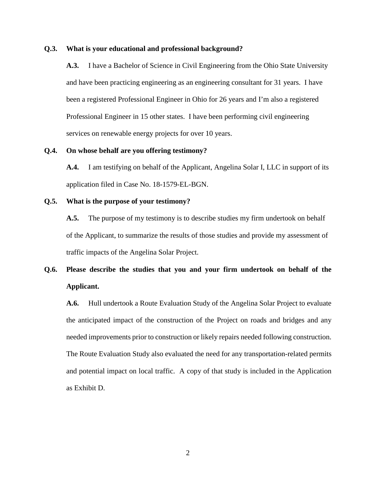### **Q.3. What is your educational and professional background?**

**A.3.** I have a Bachelor of Science in Civil Engineering from the Ohio State University and have been practicing engineering as an engineering consultant for 31 years. I have been a registered Professional Engineer in Ohio for 26 years and I'm also a registered Professional Engineer in 15 other states. I have been performing civil engineering services on renewable energy projects for over 10 years.

# **Q.4. On whose behalf are you offering testimony?**

**A.4.** I am testifying on behalf of the Applicant, Angelina Solar I, LLC in support of its application filed in Case No. 18-1579-EL-BGN.

### **Q.5. What is the purpose of your testimony?**

**A.5.** The purpose of my testimony is to describe studies my firm undertook on behalf of the Applicant, to summarize the results of those studies and provide my assessment of traffic impacts of the Angelina Solar Project.

# **Q.6. Please describe the studies that you and your firm undertook on behalf of the Applicant.**

**A.6.** Hull undertook a Route Evaluation Study of the Angelina Solar Project to evaluate the anticipated impact of the construction of the Project on roads and bridges and any needed improvements prior to construction or likely repairs needed following construction. The Route Evaluation Study also evaluated the need for any transportation-related permits and potential impact on local traffic. A copy of that study is included in the Application as Exhibit D.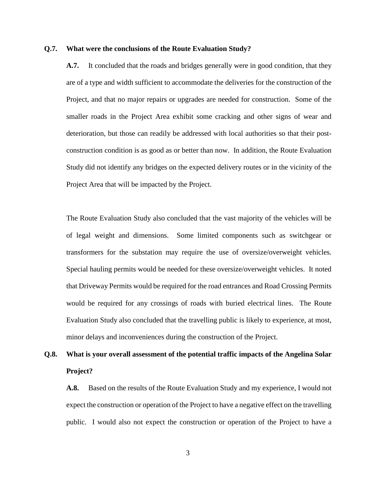### **Q.7. What were the conclusions of the Route Evaluation Study?**

**A.7.** It concluded that the roads and bridges generally were in good condition, that they are of a type and width sufficient to accommodate the deliveries for the construction of the Project, and that no major repairs or upgrades are needed for construction. Some of the smaller roads in the Project Area exhibit some cracking and other signs of wear and deterioration, but those can readily be addressed with local authorities so that their postconstruction condition is as good as or better than now. In addition, the Route Evaluation Study did not identify any bridges on the expected delivery routes or in the vicinity of the Project Area that will be impacted by the Project.

The Route Evaluation Study also concluded that the vast majority of the vehicles will be of legal weight and dimensions. Some limited components such as switchgear or transformers for the substation may require the use of oversize/overweight vehicles. Special hauling permits would be needed for these oversize/overweight vehicles. It noted that Driveway Permits would be required for the road entrances and Road Crossing Permits would be required for any crossings of roads with buried electrical lines. The Route Evaluation Study also concluded that the travelling public is likely to experience, at most, minor delays and inconveniences during the construction of the Project.

# **Q.8. What is your overall assessment of the potential traffic impacts of the Angelina Solar Project?**

**A.8.** Based on the results of the Route Evaluation Study and my experience, I would not expect the construction or operation of the Project to have a negative effect on the travelling public. I would also not expect the construction or operation of the Project to have a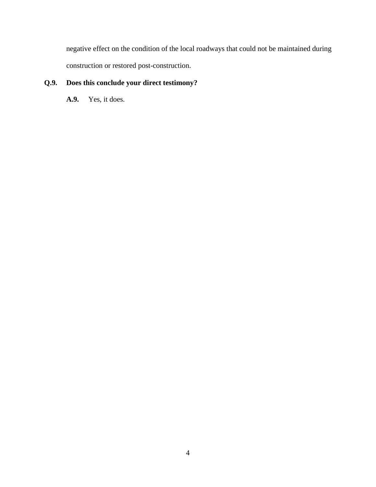negative effect on the condition of the local roadways that could not be maintained during construction or restored post-construction.

# **Q.9. Does this conclude your direct testimony?**

**A.9.** Yes, it does.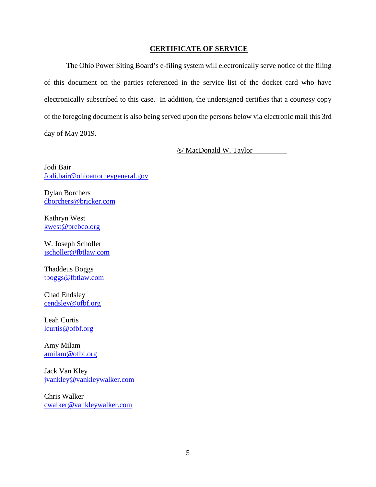# **CERTIFICATE OF SERVICE**

The Ohio Power Siting Board's e-filing system will electronically serve notice of the filing of this document on the parties referenced in the service list of the docket card who have electronically subscribed to this case. In addition, the undersigned certifies that a courtesy copy of the foregoing document is also being served upon the persons below via electronic mail this 3rd day of May 2019.

/s/ MacDonald W. Taylor

Jodi Bair Jodi.bair@ohioattorneygeneral.gov

Dylan Borchers dborchers@bricker.com

Kathryn West kwest@prebco.org

W. Joseph Scholler jscholler@fbtlaw.com

Thaddeus Boggs tboggs@fbtlaw.com

Chad Endsley cendsley@ofbf.org

Leah Curtis lcurtis@ofbf.org

Amy Milam amilam@ofbf.org

Jack Van Kley jvankley@vankleywalker.com

Chris Walker cwalker@vankleywalker.com